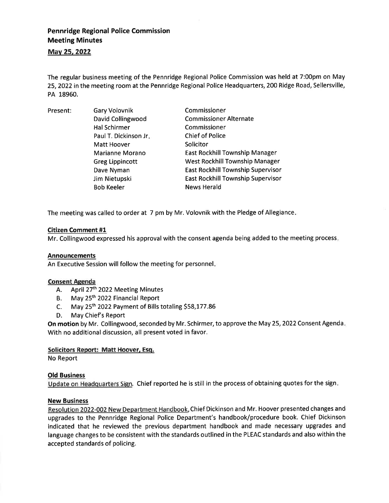# Pennridge Regional Police Commission Meeting Minutes

# Mav 25.2022

The regular business meeting of the Pennridge Regional Police Commission was held at 7:00pm on May 25,2022 in the meeting room at the Pennridge Regional Police Headquarters, 200 Ridge Road, Sellersville, PA 18960.

Present: Gary Volovnik David Collingwood Hal Schirmer Paul T. Dickinson Jr Matt Hoover Marianne Morano Greg Lippincott Dave Nyman Jim Nietupski Bob Keeler Commissioner Commissioner Alternate Commissioner Chief of Police Solicitor East Rockhill Township Manager West Rockhill Township Manager East Rockhill Township Supervisor East Rockhill Township Supervisor News Herald

The meeting was called to order at 7 pm by Mr. Volovnik with the Pledge of Allegiance

# Citizen Comment #1

Mr. Collingwood expressed his approval with the consent agenda being added to the meeting process.

### Announcements

An Executive Session will follow the meeting for personnel

# Consent Agenda

- A. April 27<sup>th</sup> 2022 Meeting Minutes
- B. May 25<sup>th</sup> 2022 Financial Report
- c. May 25th 2o22 Payment of Bills totaling S58,177.86
- D. May Chief's Report

On motion by Mr. Collingwood, seconded by Mr. Schirmer, to approve the May 25, 2022 Consent Agenda. With no additional discussion, all present voted in favor.

### Solicitors Report: Matt Hoover, Esq.

No Report

# Old Business

Update on Headquarters Sign. Chief reported he is still in the process of obtaining quotes for the sign

### New Business

Resolution 2022-002 New Department Handbook. Chief Dickinson and Mr. Hoover presented changes and upgrades to the Pennridge Regional Police Department's handbook/procedure book. Chief Dickinson indicated that he reviewed the previous department handbook and made necessary upgrades and language changes to be consistent with the standards outlined in the PLEAC standards and also within the accepted standards of policing.